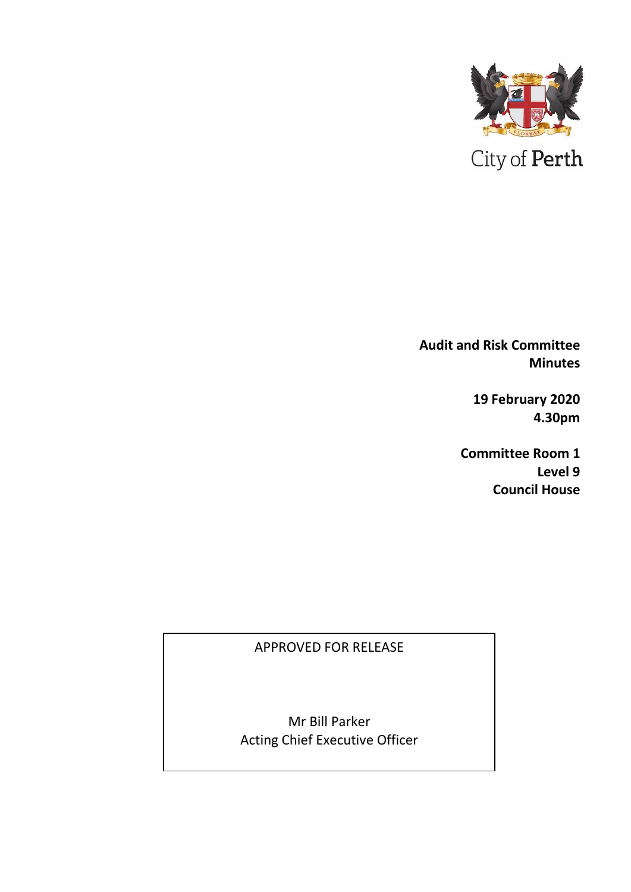

**Audit and Risk Committee Minutes**

> **19 February 2020 4.30pm**

**Committee Room 1 Level 9 Council House**

APPROVED FOR RELEASE

Mr Bill Parker Acting Chief Executive Officer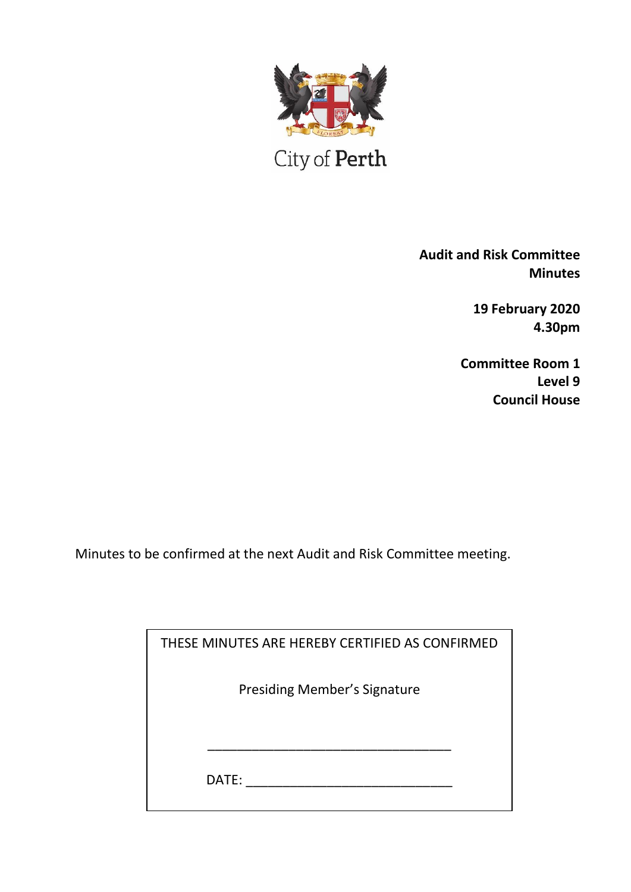

City of Perth

**Audit and Risk Committee Minutes**

> **19 February 2020 4.30pm**

**Committee Room 1 Level 9 Council House**

Minutes to be confirmed at the next Audit and Risk Committee meeting.

| THESE MINUTES ARE HEREBY CERTIFIED AS CONFIRMED |  |
|-------------------------------------------------|--|
| <b>Presiding Member's Signature</b>             |  |
|                                                 |  |
| DATE:                                           |  |
|                                                 |  |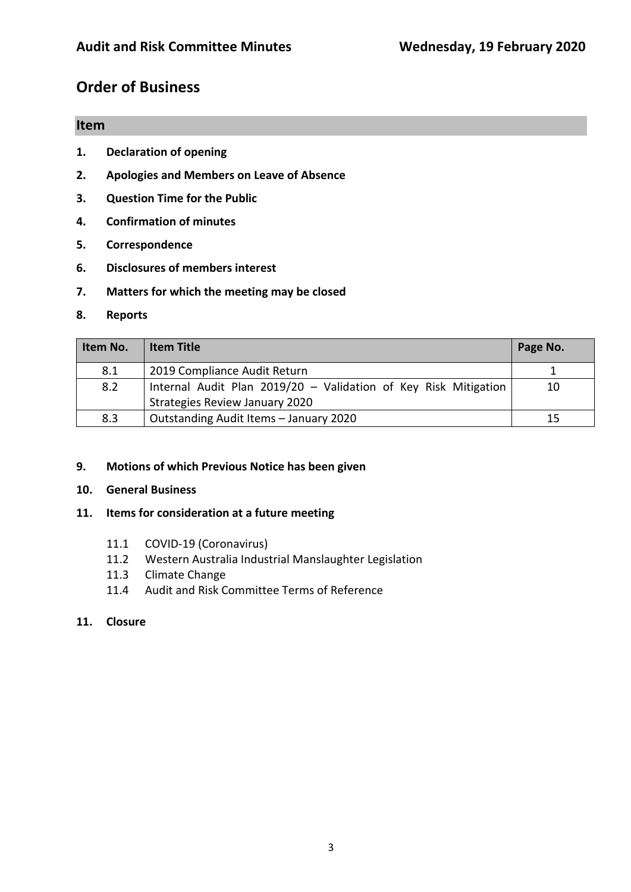# **Order of Business**

#### **Item**

- **1. Declaration of opening**
- **2. Apologies and Members on Leave of Absence**
- **3. Question Time for the Public**
- **4. Confirmation of minutes**
- **5. Correspondence**
- **6. Disclosures of members interest**
- **7. Matters for which the meeting may be closed**

#### **8. Reports**

| Item No. | <b>Item Title</b>                                                                                 | Page No. |
|----------|---------------------------------------------------------------------------------------------------|----------|
| 8.1      | 2019 Compliance Audit Return                                                                      |          |
| 8.2      | Internal Audit Plan 2019/20 - Validation of Key Risk Mitigation<br>Strategies Review January 2020 | 10       |
| 8.3      | Outstanding Audit Items - January 2020                                                            | 15       |

#### **9. Motions of which Previous Notice has been given**

#### **10. General Business**

#### **11. Items for consideration at a future meeting**

- 11.1 COVID-19 (Coronavirus)
- 11.2 Western Australia Industrial Manslaughter Legislation
- 11.3 Climate Change
- 11.4 Audit and Risk Committee Terms of Reference

#### **11. Closure**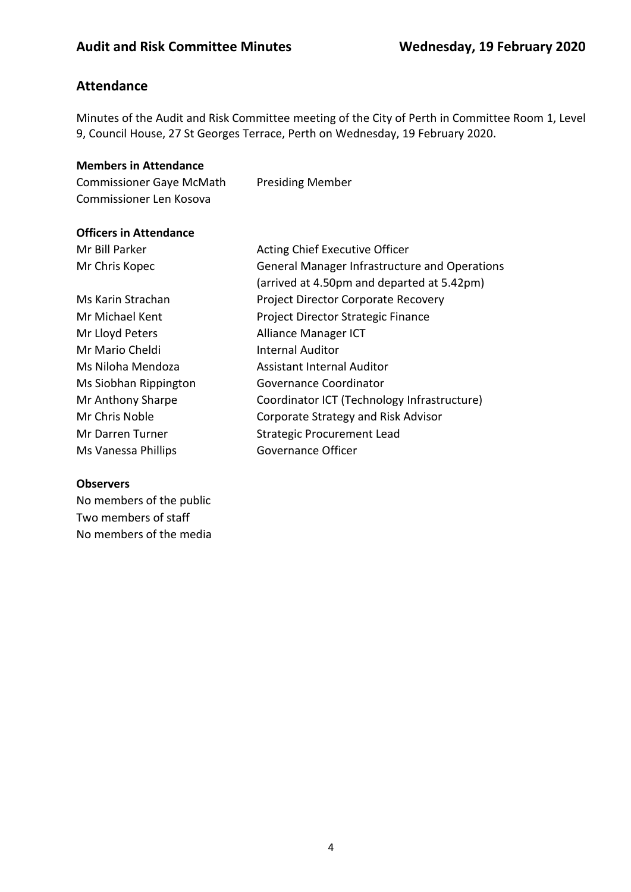# **Attendance**

Minutes of the Audit and Risk Committee meeting of the City of Perth in Committee Room 1, Level 9, Council House, 27 St Georges Terrace, Perth on Wednesday, 19 February 2020.

#### **Members in Attendance**

| <b>Commissioner Gaye McMath</b> | <b>Presiding Member</b> |
|---------------------------------|-------------------------|
| Commissioner Len Kosova         |                         |

#### **Officers in Attendance**

| Mr Bill Parker        | Acting Chief Executive Officer                       |
|-----------------------|------------------------------------------------------|
| Mr Chris Kopec        | <b>General Manager Infrastructure and Operations</b> |
|                       | (arrived at 4.50pm and departed at 5.42pm)           |
| Ms Karin Strachan     | Project Director Corporate Recovery                  |
| Mr Michael Kent       | Project Director Strategic Finance                   |
| Mr Lloyd Peters       | Alliance Manager ICT                                 |
| Mr Mario Cheldi       | <b>Internal Auditor</b>                              |
| Ms Niloha Mendoza     | Assistant Internal Auditor                           |
| Ms Siobhan Rippington | Governance Coordinator                               |
| Mr Anthony Sharpe     | Coordinator ICT (Technology Infrastructure)          |
| Mr Chris Noble        | Corporate Strategy and Risk Advisor                  |
| Mr Darren Turner      | <b>Strategic Procurement Lead</b>                    |
| Ms Vanessa Phillips   | Governance Officer                                   |
|                       |                                                      |

#### **Observers**

No members of the public Two members of staff No members of the media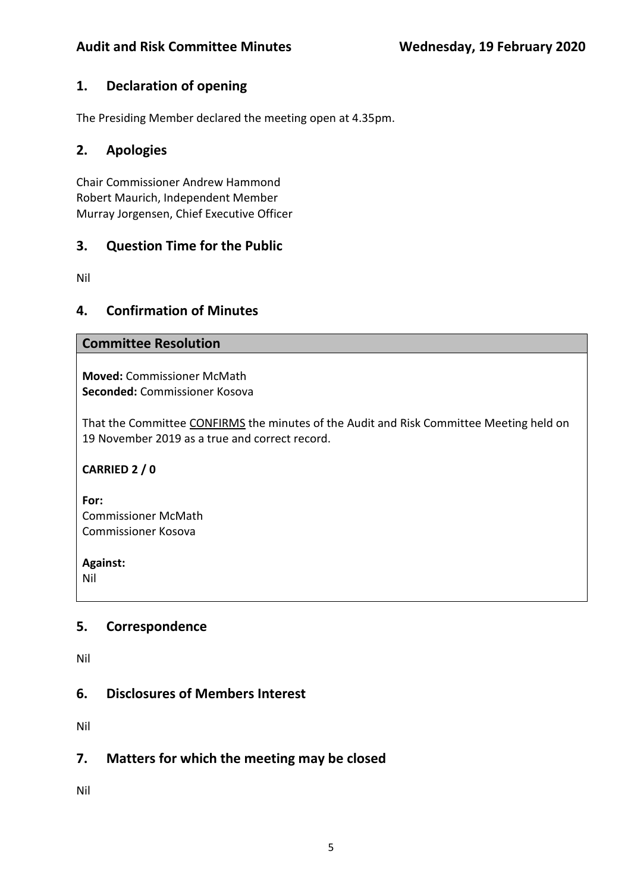# **1. Declaration of opening**

The Presiding Member declared the meeting open at 4.35pm.

## **2. Apologies**

Chair Commissioner Andrew Hammond Robert Maurich, Independent Member Murray Jorgensen, Chief Executive Officer

## **3. Question Time for the Public**

Nil

## **4. Confirmation of Minutes**

#### **Committee Resolution**

**Moved:** Commissioner McMath **Seconded:** Commissioner Kosova

That the Committee CONFIRMS the minutes of the Audit and Risk Committee Meeting held on 19 November 2019 as a true and correct record.

**CARRIED 2 / 0**

**For:**  Commissioner McMath Commissioner Kosova

**Against:** 

Nil

### **5. Correspondence**

Nil

### **6. Disclosures of Members Interest**

Nil

# **7. Matters for which the meeting may be closed**

Nil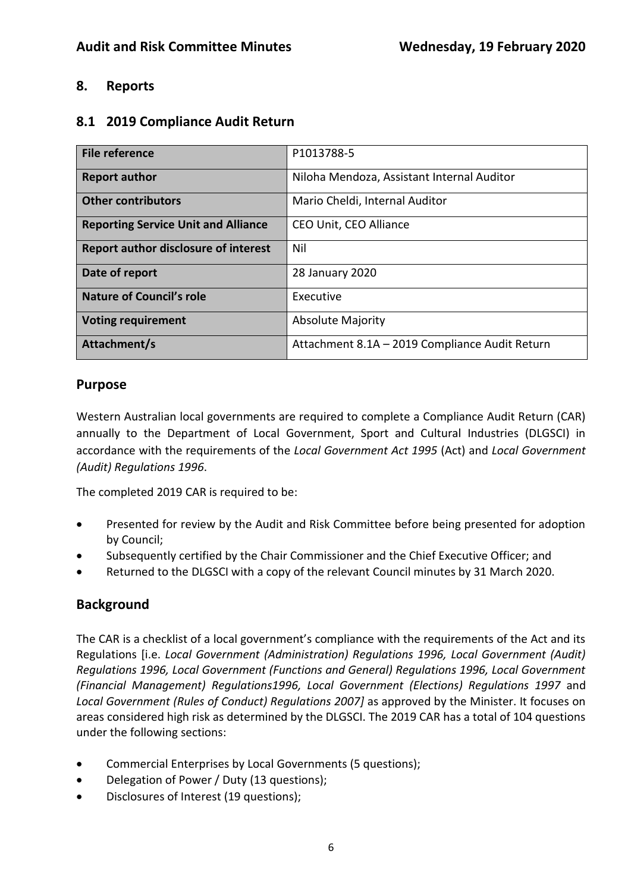# **8. Reports**

## **8.1 2019 Compliance Audit Return**

| File reference                              | P1013788-5                                     |  |
|---------------------------------------------|------------------------------------------------|--|
| <b>Report author</b>                        | Niloha Mendoza, Assistant Internal Auditor     |  |
| <b>Other contributors</b>                   | Mario Cheldi, Internal Auditor                 |  |
| <b>Reporting Service Unit and Alliance</b>  | CEO Unit, CEO Alliance                         |  |
| <b>Report author disclosure of interest</b> | Nil                                            |  |
| Date of report                              | 28 January 2020                                |  |
| <b>Nature of Council's role</b>             | Executive                                      |  |
| <b>Voting requirement</b>                   | <b>Absolute Majority</b>                       |  |
| Attachment/s                                | Attachment 8.1A - 2019 Compliance Audit Return |  |

## **Purpose**

Western Australian local governments are required to complete a Compliance Audit Return (CAR) annually to the Department of Local Government, Sport and Cultural Industries (DLGSCI) in accordance with the requirements of the *Local Government Act 1995* (Act) and *Local Government (Audit) Regulations 1996*.

The completed 2019 CAR is required to be:

- Presented for review by the Audit and Risk Committee before being presented for adoption by Council;
- Subsequently certified by the Chair Commissioner and the Chief Executive Officer; and
- Returned to the DLGSCI with a copy of the relevant Council minutes by 31 March 2020.

# **Background**

The CAR is a checklist of a local government's compliance with the requirements of the Act and its Regulations [i.e. *Local Government (Administration) Regulations 1996, Local Government (Audit) Regulations 1996, Local Government (Functions and General) Regulations 1996, Local Government (Financial Management) Regulations1996, Local Government (Elections) Regulations 1997* and *Local Government (Rules of Conduct) Regulations 2007]* as approved by the Minister. It focuses on areas considered high risk as determined by the DLGSCI. The 2019 CAR has a total of 104 questions under the following sections:

- Commercial Enterprises by Local Governments (5 questions);
- Delegation of Power / Duty (13 questions);
- Disclosures of Interest (19 questions);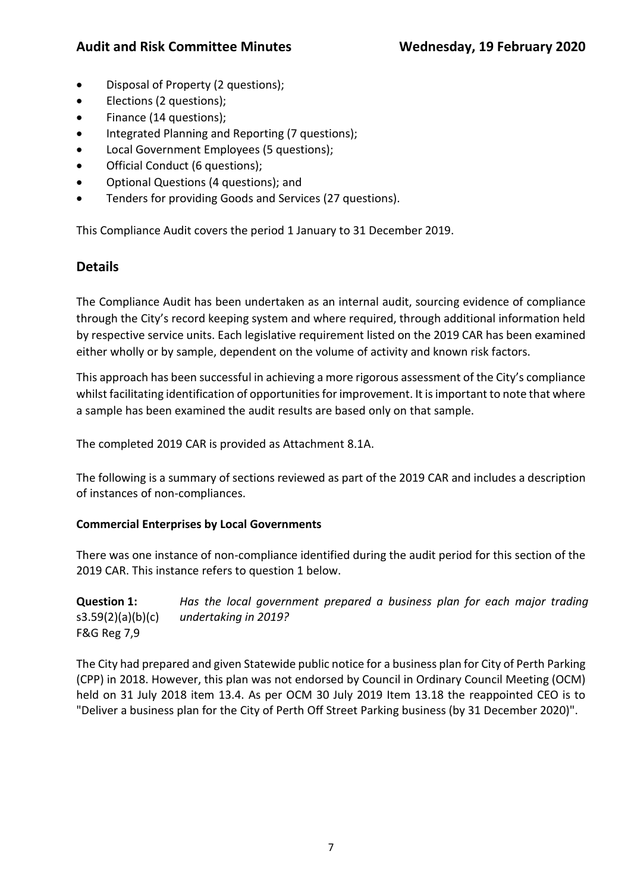- Disposal of Property (2 questions);
- Elections (2 questions);
- Finance (14 questions);
- Integrated Planning and Reporting (7 questions);
- Local Government Employees (5 questions);
- Official Conduct (6 questions);
- Optional Questions (4 questions); and
- Tenders for providing Goods and Services (27 questions).

This Compliance Audit covers the period 1 January to 31 December 2019.

### **Details**

The Compliance Audit has been undertaken as an internal audit, sourcing evidence of compliance through the City's record keeping system and where required, through additional information held by respective service units. Each legislative requirement listed on the 2019 CAR has been examined either wholly or by sample, dependent on the volume of activity and known risk factors.

This approach has been successful in achieving a more rigorous assessment of the City's compliance whilst facilitating identification of opportunities for improvement. It is important to note that where a sample has been examined the audit results are based only on that sample.

The completed 2019 CAR is provided as Attachment 8.1A.

The following is a summary of sections reviewed as part of the 2019 CAR and includes a description of instances of non-compliances.

#### **Commercial Enterprises by Local Governments**

There was one instance of non-compliance identified during the audit period for this section of the 2019 CAR. This instance refers to question 1 below.

**Question 1:**  s3.59(2)(a)(b)(c) F&G Reg 7,9 *Has the local government prepared a business plan for each major trading undertaking in 2019?*

The City had prepared and given Statewide public notice for a business plan for City of Perth Parking (CPP) in 2018. However, this plan was not endorsed by Council in Ordinary Council Meeting (OCM) held on 31 July 2018 item 13.4. As per OCM 30 July 2019 Item 13.18 the reappointed CEO is to "Deliver a business plan for the City of Perth Off Street Parking business (by 31 December 2020)".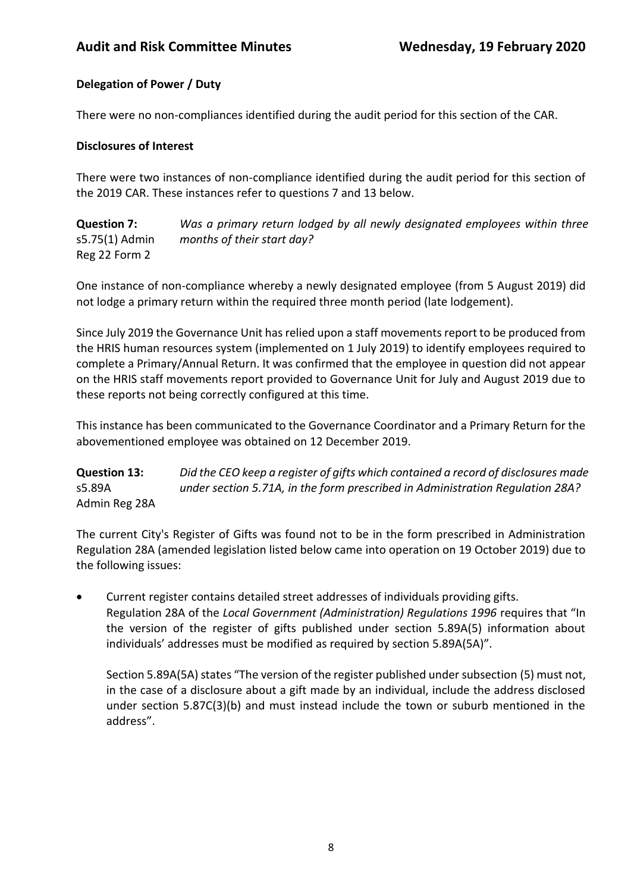### **Delegation of Power / Duty**

There were no non-compliances identified during the audit period for this section of the CAR.

#### **Disclosures of Interest**

There were two instances of non-compliance identified during the audit period for this section of the 2019 CAR. These instances refer to questions 7 and 13 below.

**Question 7:** s5.75(1) Admin Reg 22 Form 2 *Was a primary return lodged by all newly designated employees within three months of their start day?*

One instance of non-compliance whereby a newly designated employee (from 5 August 2019) did not lodge a primary return within the required three month period (late lodgement).

Since July 2019 the Governance Unit has relied upon a staff movements report to be produced from the HRIS human resources system (implemented on 1 July 2019) to identify employees required to complete a Primary/Annual Return. It was confirmed that the employee in question did not appear on the HRIS staff movements report provided to Governance Unit for July and August 2019 due to these reports not being correctly configured at this time.

This instance has been communicated to the Governance Coordinator and a Primary Return for the abovementioned employee was obtained on 12 December 2019.

**Question 13:**  s5.89A Admin Reg 28A *Did the CEO keep a register of gifts which contained a record of disclosures made under section 5.71A, in the form prescribed in Administration Regulation 28A?*

The current City's Register of Gifts was found not to be in the form prescribed in Administration Regulation 28A (amended legislation listed below came into operation on 19 October 2019) due to the following issues:

• Current register contains detailed street addresses of individuals providing gifts. Regulation 28A of the *Local Government (Administration) Regulations 1996* requires that "In the version of the register of gifts published under section 5.89A(5) information about individuals' addresses must be modified as required by section 5.89A(5A)".

Section 5.89A(5A) states "The version of the register published under subsection (5) must not, in the case of a disclosure about a gift made by an individual, include the address disclosed under section 5.87C(3)(b) and must instead include the town or suburb mentioned in the address".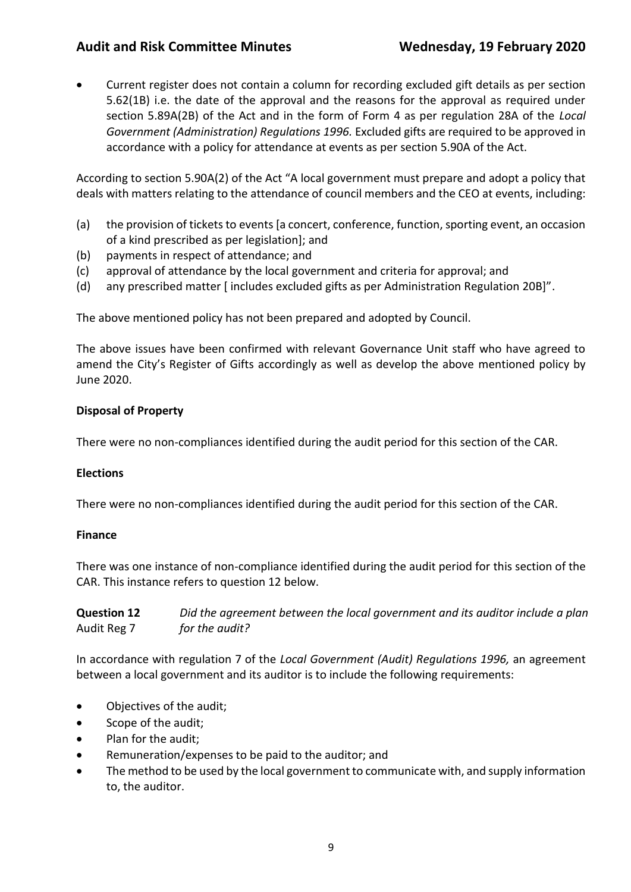• Current register does not contain a column for recording excluded gift details as per section 5.62(1B) i.e. the date of the approval and the reasons for the approval as required under section 5.89A(2B) of the Act and in the form of Form 4 as per regulation 28A of the *Local Government (Administration) Regulations 1996.* Excluded gifts are required to be approved in accordance with a policy for attendance at events as per section 5.90A of the Act.

According to section 5.90A(2) of the Act "A local government must prepare and adopt a policy that deals with matters relating to the attendance of council members and the CEO at events, including:

- (a) the provision of tickets to events [a concert, conference, function, sporting event, an occasion of a kind prescribed as per legislation]; and
- (b) payments in respect of attendance; and
- (c) approval of attendance by the local government and criteria for approval; and
- (d) any prescribed matter [ includes excluded gifts as per Administration Regulation 20B]".

The above mentioned policy has not been prepared and adopted by Council.

The above issues have been confirmed with relevant Governance Unit staff who have agreed to amend the City's Register of Gifts accordingly as well as develop the above mentioned policy by June 2020.

#### **Disposal of Property**

There were no non-compliances identified during the audit period for this section of the CAR.

#### **Elections**

There were no non-compliances identified during the audit period for this section of the CAR.

#### **Finance**

There was one instance of non-compliance identified during the audit period for this section of the CAR. This instance refers to question 12 below.

**Question 12**  Audit Reg 7 *Did the agreement between the local government and its auditor include a plan for the audit?*

In accordance with regulation 7 of the *Local Government (Audit) Regulations 1996,* an agreement between a local government and its auditor is to include the following requirements:

- Objectives of the audit;
- Scope of the audit;
- Plan for the audit;
- Remuneration/expenses to be paid to the auditor; and
- The method to be used by the local government to communicate with, and supply information to, the auditor.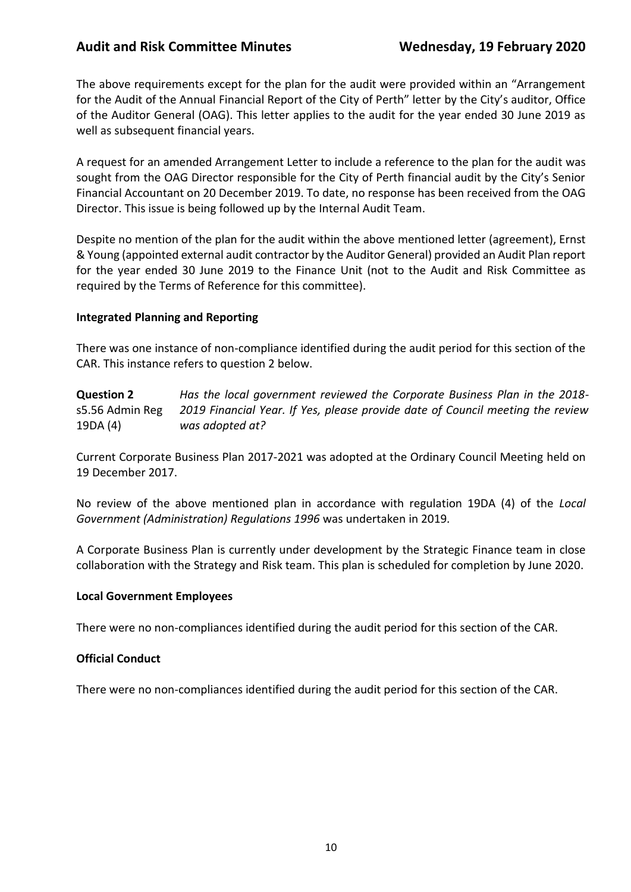The above requirements except for the plan for the audit were provided within an "Arrangement for the Audit of the Annual Financial Report of the City of Perth" letter by the City's auditor, Office of the Auditor General (OAG). This letter applies to the audit for the year ended 30 June 2019 as well as subsequent financial years.

A request for an amended Arrangement Letter to include a reference to the plan for the audit was sought from the OAG Director responsible for the City of Perth financial audit by the City's Senior Financial Accountant on 20 December 2019. To date, no response has been received from the OAG Director. This issue is being followed up by the Internal Audit Team.

Despite no mention of the plan for the audit within the above mentioned letter (agreement), Ernst & Young (appointed external audit contractor by the Auditor General) provided an Audit Plan report for the year ended 30 June 2019 to the Finance Unit (not to the Audit and Risk Committee as required by the Terms of Reference for this committee).

#### **Integrated Planning and Reporting**

There was one instance of non-compliance identified during the audit period for this section of the CAR. This instance refers to question 2 below.

**Question 2**  s5.56 Admin Reg 19DA (4) *Has the local government reviewed the Corporate Business Plan in the 2018- 2019 Financial Year. If Yes, please provide date of Council meeting the review was adopted at?*

Current Corporate Business Plan 2017-2021 was adopted at the Ordinary Council Meeting held on 19 December 2017.

No review of the above mentioned plan in accordance with regulation 19DA (4) of the *Local Government (Administration) Regulations 1996* was undertaken in 2019*.*

A Corporate Business Plan is currently under development by the Strategic Finance team in close collaboration with the Strategy and Risk team. This plan is scheduled for completion by June 2020.

#### **Local Government Employees**

There were no non-compliances identified during the audit period for this section of the CAR.

#### **Official Conduct**

There were no non-compliances identified during the audit period for this section of the CAR.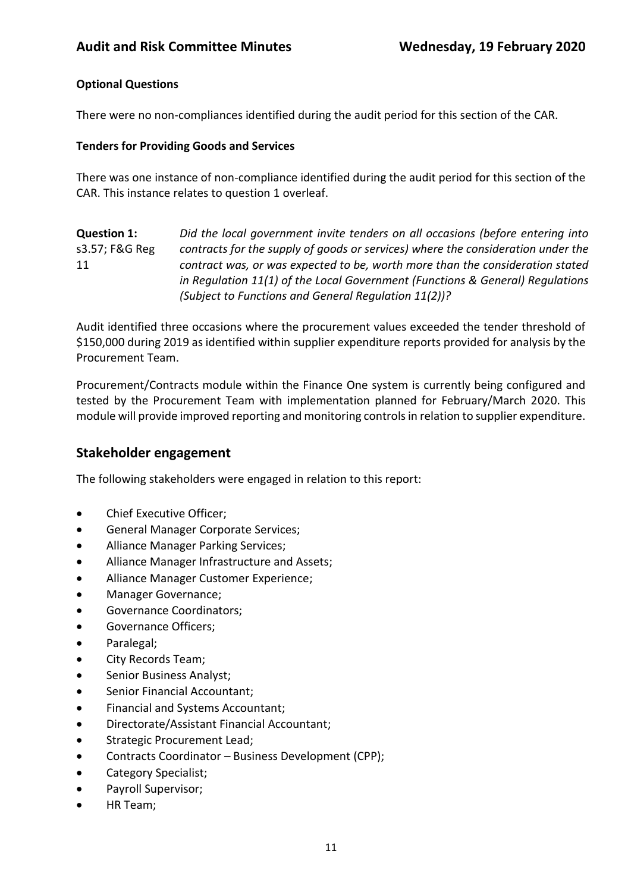#### **Optional Questions**

There were no non-compliances identified during the audit period for this section of the CAR.

#### **Tenders for Providing Goods and Services**

There was one instance of non-compliance identified during the audit period for this section of the CAR. This instance relates to question 1 overleaf.

**Question 1:** s3.57; F&G Reg 11 *Did the local government invite tenders on all occasions (before entering into contracts for the supply of goods or services) where the consideration under the contract was, or was expected to be, worth more than the consideration stated in Regulation 11(1) of the Local Government (Functions & General) Regulations (Subject to Functions and General Regulation 11(2))?*

Audit identified three occasions where the procurement values exceeded the tender threshold of \$150,000 during 2019 as identified within supplier expenditure reports provided for analysis by the Procurement Team.

Procurement/Contracts module within the Finance One system is currently being configured and tested by the Procurement Team with implementation planned for February/March 2020. This module will provide improved reporting and monitoring controls in relation to supplier expenditure.

### **Stakeholder engagement**

The following stakeholders were engaged in relation to this report:

- Chief Executive Officer;
- General Manager Corporate Services;
- Alliance Manager Parking Services;
- Alliance Manager Infrastructure and Assets;
- Alliance Manager Customer Experience;
- Manager Governance;
- Governance Coordinators;
- Governance Officers;
- Paralegal;
- City Records Team;
- Senior Business Analyst;
- Senior Financial Accountant;
- Financial and Systems Accountant;
- Directorate/Assistant Financial Accountant;
- Strategic Procurement Lead;
- Contracts Coordinator Business Development (CPP);
- Category Specialist;
- Payroll Supervisor;
- HR Team;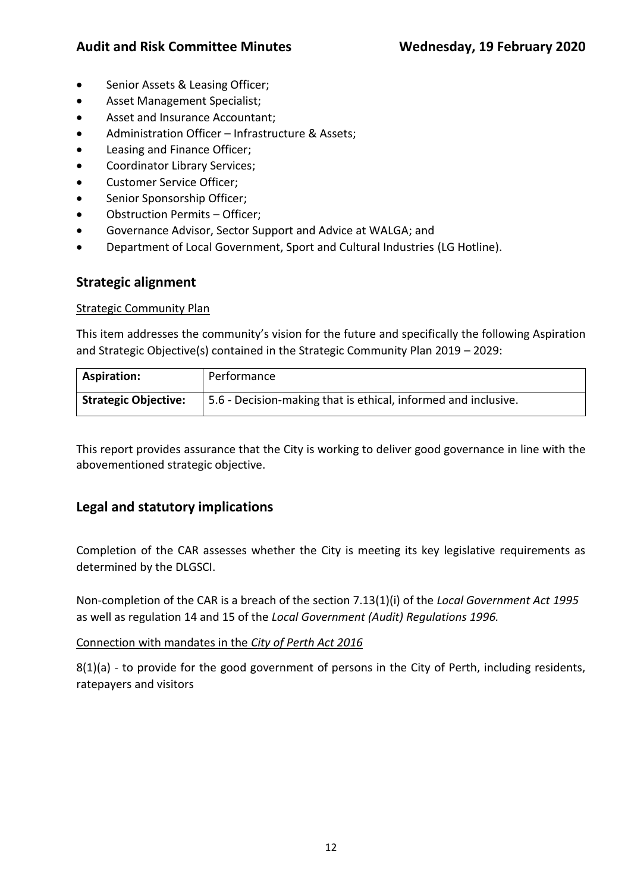- Senior Assets & Leasing Officer;
- Asset Management Specialist;
- Asset and Insurance Accountant;
- Administration Officer Infrastructure & Assets;
- Leasing and Finance Officer;
- Coordinator Library Services;
- Customer Service Officer;
- Senior Sponsorship Officer;
- Obstruction Permits Officer;
- Governance Advisor, Sector Support and Advice at WALGA; and
- Department of Local Government, Sport and Cultural Industries (LG Hotline).

### **Strategic alignment**

#### Strategic Community Plan

This item addresses the community's vision for the future and specifically the following Aspiration and Strategic Objective(s) contained in the Strategic Community Plan 2019 – 2029:

| <b>Aspiration:</b>          | Performance                                                    |
|-----------------------------|----------------------------------------------------------------|
| <b>Strategic Objective:</b> | 5.6 - Decision-making that is ethical, informed and inclusive. |

This report provides assurance that the City is working to deliver good governance in line with the abovementioned strategic objective.

### **Legal and statutory implications**

Completion of the CAR assesses whether the City is meeting its key legislative requirements as determined by the DLGSCI.

Non-completion of the CAR is a breach of the section 7.13(1)(i) of the *Local Government Act 1995* as well as regulation 14 and 15 of the *Local Government (Audit) Regulations 1996.* 

#### Connection with mandates in the *City of Perth Act 2016*

8(1)(a) - to provide for the good government of persons in the City of Perth, including residents, ratepayers and visitors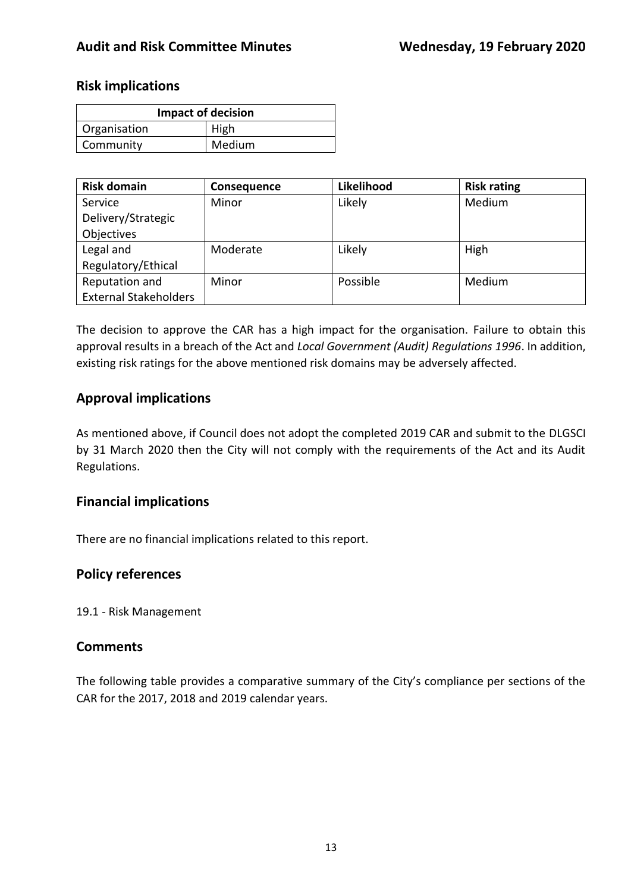### **Risk implications**

| <b>Impact of decision</b> |        |  |
|---------------------------|--------|--|
| Organisation              | High   |  |
| Community                 | Medium |  |

| <b>Risk domain</b>           | Consequence | Likelihood | <b>Risk rating</b> |
|------------------------------|-------------|------------|--------------------|
| Service                      | Minor       | Likely     | Medium             |
| Delivery/Strategic           |             |            |                    |
| Objectives                   |             |            |                    |
| Legal and                    | Moderate    | Likely     | High               |
| Regulatory/Ethical           |             |            |                    |
| Reputation and               | Minor       | Possible   | Medium             |
| <b>External Stakeholders</b> |             |            |                    |

The decision to approve the CAR has a high impact for the organisation. Failure to obtain this approval results in a breach of the Act and *Local Government (Audit) Regulations 1996*. In addition, existing risk ratings for the above mentioned risk domains may be adversely affected.

## **Approval implications**

As mentioned above, if Council does not adopt the completed 2019 CAR and submit to the DLGSCI by 31 March 2020 then the City will not comply with the requirements of the Act and its Audit Regulations.

### **Financial implications**

There are no financial implications related to this report.

### **Policy references**

19.1 - Risk Management

### **Comments**

The following table provides a comparative summary of the City's compliance per sections of the CAR for the 2017, 2018 and 2019 calendar years.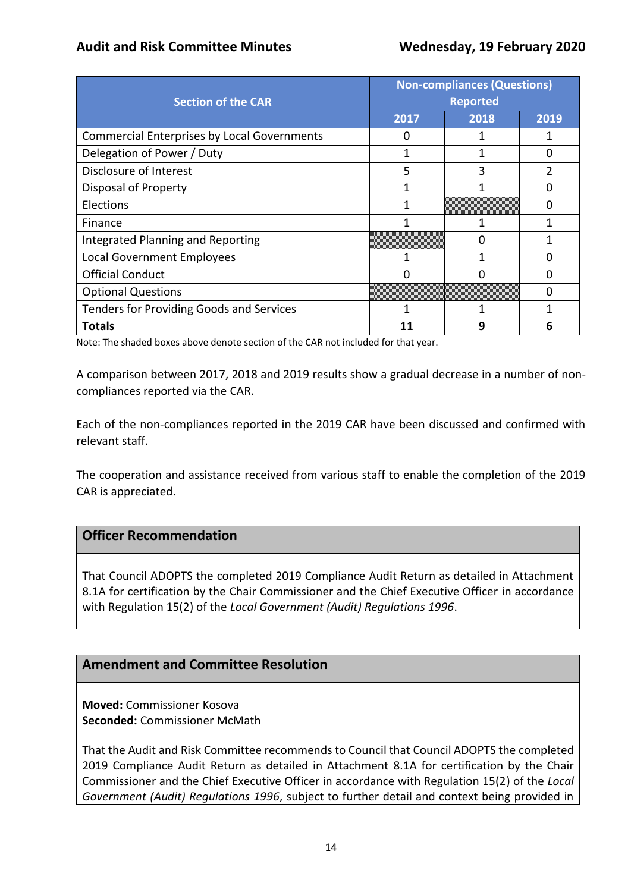| <b>Section of the CAR</b>                          | <b>Non-compliances (Questions)</b><br><b>Reported</b> |      |      |
|----------------------------------------------------|-------------------------------------------------------|------|------|
|                                                    | 2017                                                  | 2018 | 2019 |
| <b>Commercial Enterprises by Local Governments</b> |                                                       |      |      |
| Delegation of Power / Duty                         |                                                       |      | O    |
| Disclosure of Interest                             | 5                                                     | 3    | 2    |
| <b>Disposal of Property</b>                        |                                                       |      | 0    |
| <b>Elections</b>                                   |                                                       |      | ი    |
| Finance                                            | 1                                                     |      |      |
| Integrated Planning and Reporting                  |                                                       | n    |      |
| <b>Local Government Employees</b>                  |                                                       |      | ი    |
| <b>Official Conduct</b>                            |                                                       | n    | n    |
| <b>Optional Questions</b>                          |                                                       |      | ი    |
| <b>Tenders for Providing Goods and Services</b>    |                                                       |      |      |
| Totals                                             |                                                       | 9    | 6    |

Note: The shaded boxes above denote section of the CAR not included for that year.

A comparison between 2017, 2018 and 2019 results show a gradual decrease in a number of noncompliances reported via the CAR.

Each of the non-compliances reported in the 2019 CAR have been discussed and confirmed with relevant staff.

The cooperation and assistance received from various staff to enable the completion of the 2019 CAR is appreciated.

### **Officer Recommendation**

That Council ADOPTS the completed 2019 Compliance Audit Return as detailed in Attachment 8.1A for certification by the Chair Commissioner and the Chief Executive Officer in accordance with Regulation 15(2) of the *Local Government (Audit) Regulations 1996*.

### **Amendment and Committee Resolution**

**Moved:** Commissioner Kosova **Seconded:** Commissioner McMath

That the Audit and Risk Committee recommends to Council that Council ADOPTS the completed 2019 Compliance Audit Return as detailed in Attachment 8.1A for certification by the Chair Commissioner and the Chief Executive Officer in accordance with Regulation 15(2) of the *Local Government (Audit) Regulations 1996*, subject to further detail and context being provided in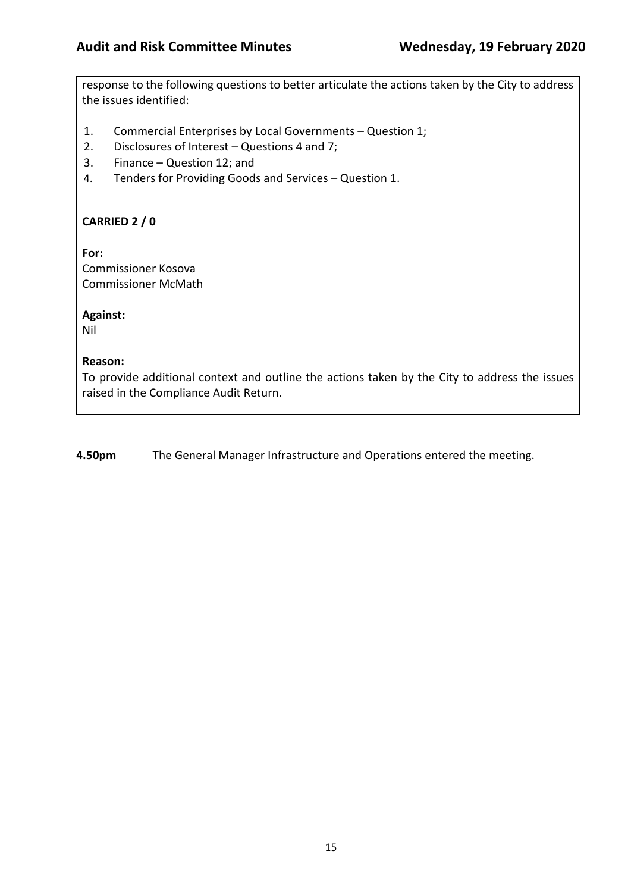response to the following questions to better articulate the actions taken by the City to address the issues identified:

- 1. Commercial Enterprises by Local Governments Question 1;
- 2. Disclosures of Interest Questions 4 and 7;
- 3. Finance Question 12; and
- 4. Tenders for Providing Goods and Services Question 1.

### **CARRIED 2 / 0**

**For:**  Commissioner Kosova Commissioner McMath

**Against:** 

Nil

#### **Reason:**

To provide additional context and outline the actions taken by the City to address the issues raised in the Compliance Audit Return.

**4.50pm** The General Manager Infrastructure and Operations entered the meeting.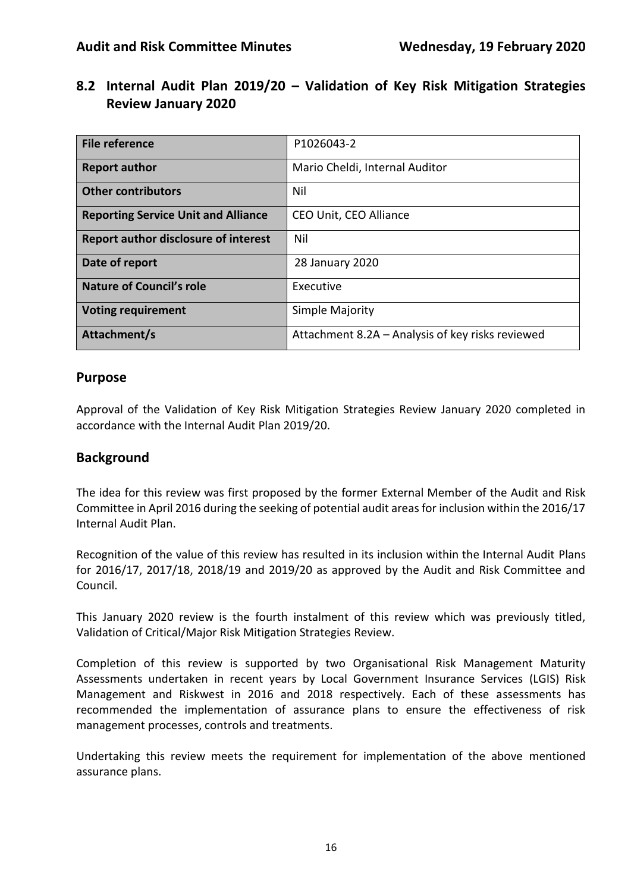**8.2 Internal Audit Plan 2019/20 – Validation of Key Risk Mitigation Strategies Review January 2020**

| File reference                              | P1026043-2                                       |
|---------------------------------------------|--------------------------------------------------|
| <b>Report author</b>                        | Mario Cheldi, Internal Auditor                   |
| <b>Other contributors</b>                   | Nil                                              |
| <b>Reporting Service Unit and Alliance</b>  | CEO Unit, CEO Alliance                           |
| <b>Report author disclosure of interest</b> | Nil                                              |
| Date of report                              | 28 January 2020                                  |
| <b>Nature of Council's role</b>             | Executive                                        |
| <b>Voting requirement</b>                   | Simple Majority                                  |
| Attachment/s                                | Attachment 8.2A - Analysis of key risks reviewed |

#### **Purpose**

Approval of the Validation of Key Risk Mitigation Strategies Review January 2020 completed in accordance with the Internal Audit Plan 2019/20.

### **Background**

The idea for this review was first proposed by the former External Member of the Audit and Risk Committee in April 2016 during the seeking of potential audit areas for inclusion within the 2016/17 Internal Audit Plan.

Recognition of the value of this review has resulted in its inclusion within the Internal Audit Plans for 2016/17, 2017/18, 2018/19 and 2019/20 as approved by the Audit and Risk Committee and Council.

This January 2020 review is the fourth instalment of this review which was previously titled, Validation of Critical/Major Risk Mitigation Strategies Review.

Completion of this review is supported by two Organisational Risk Management Maturity Assessments undertaken in recent years by Local Government Insurance Services (LGIS) Risk Management and Riskwest in 2016 and 2018 respectively. Each of these assessments has recommended the implementation of assurance plans to ensure the effectiveness of risk management processes, controls and treatments.

Undertaking this review meets the requirement for implementation of the above mentioned assurance plans.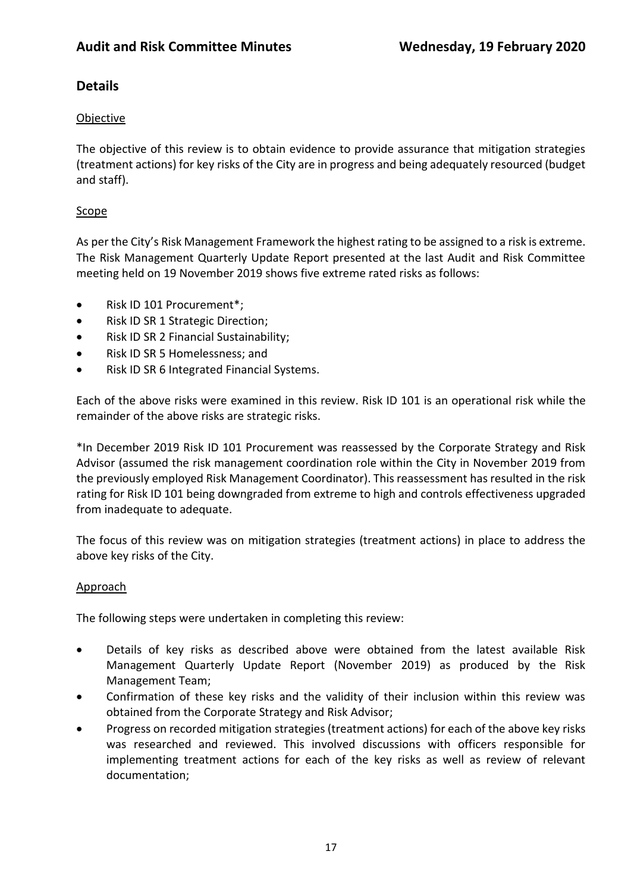# **Details**

### Objective

The objective of this review is to obtain evidence to provide assurance that mitigation strategies (treatment actions) for key risks of the City are in progress and being adequately resourced (budget and staff).

### Scope

As per the City's Risk Management Framework the highest rating to be assigned to a risk is extreme. The Risk Management Quarterly Update Report presented at the last Audit and Risk Committee meeting held on 19 November 2019 shows five extreme rated risks as follows:

- Risk ID 101 Procurement\*;
- Risk ID SR 1 Strategic Direction;
- Risk ID SR 2 Financial Sustainability;
- Risk ID SR 5 Homelessness; and
- Risk ID SR 6 Integrated Financial Systems.

Each of the above risks were examined in this review. Risk ID 101 is an operational risk while the remainder of the above risks are strategic risks.

\*In December 2019 Risk ID 101 Procurement was reassessed by the Corporate Strategy and Risk Advisor (assumed the risk management coordination role within the City in November 2019 from the previously employed Risk Management Coordinator). This reassessment has resulted in the risk rating for Risk ID 101 being downgraded from extreme to high and controls effectiveness upgraded from inadequate to adequate.

The focus of this review was on mitigation strategies (treatment actions) in place to address the above key risks of the City.

#### Approach

The following steps were undertaken in completing this review:

- Details of key risks as described above were obtained from the latest available Risk Management Quarterly Update Report (November 2019) as produced by the Risk Management Team;
- Confirmation of these key risks and the validity of their inclusion within this review was obtained from the Corporate Strategy and Risk Advisor;
- Progress on recorded mitigation strategies (treatment actions) for each of the above key risks was researched and reviewed. This involved discussions with officers responsible for implementing treatment actions for each of the key risks as well as review of relevant documentation;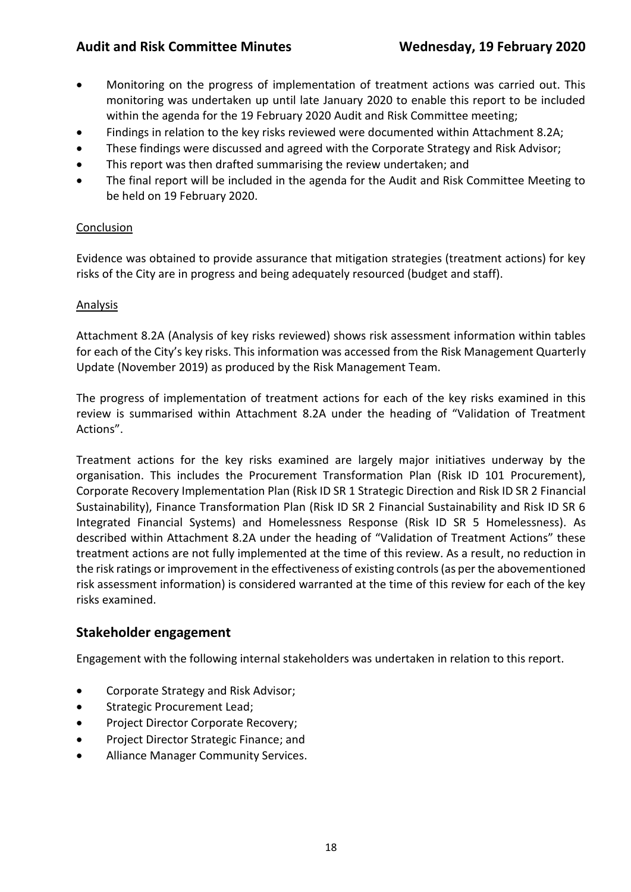- Monitoring on the progress of implementation of treatment actions was carried out. This monitoring was undertaken up until late January 2020 to enable this report to be included within the agenda for the 19 February 2020 Audit and Risk Committee meeting;
- Findings in relation to the key risks reviewed were documented within Attachment 8.2A;
- These findings were discussed and agreed with the Corporate Strategy and Risk Advisor;
- This report was then drafted summarising the review undertaken; and
- The final report will be included in the agenda for the Audit and Risk Committee Meeting to be held on 19 February 2020.

#### Conclusion

Evidence was obtained to provide assurance that mitigation strategies (treatment actions) for key risks of the City are in progress and being adequately resourced (budget and staff).

#### Analysis

Attachment 8.2A (Analysis of key risks reviewed) shows risk assessment information within tables for each of the City's key risks. This information was accessed from the Risk Management Quarterly Update (November 2019) as produced by the Risk Management Team.

The progress of implementation of treatment actions for each of the key risks examined in this review is summarised within Attachment 8.2A under the heading of "Validation of Treatment Actions".

Treatment actions for the key risks examined are largely major initiatives underway by the organisation. This includes the Procurement Transformation Plan (Risk ID 101 Procurement), Corporate Recovery Implementation Plan (Risk ID SR 1 Strategic Direction and Risk ID SR 2 Financial Sustainability), Finance Transformation Plan (Risk ID SR 2 Financial Sustainability and Risk ID SR 6 Integrated Financial Systems) and Homelessness Response (Risk ID SR 5 Homelessness). As described within Attachment 8.2A under the heading of "Validation of Treatment Actions" these treatment actions are not fully implemented at the time of this review. As a result, no reduction in the risk ratings or improvement in the effectiveness of existing controls (as per the abovementioned risk assessment information) is considered warranted at the time of this review for each of the key risks examined.

### **Stakeholder engagement**

Engagement with the following internal stakeholders was undertaken in relation to this report.

- Corporate Strategy and Risk Advisor;
- Strategic Procurement Lead;
- Project Director Corporate Recovery;
- Project Director Strategic Finance; and
- Alliance Manager Community Services.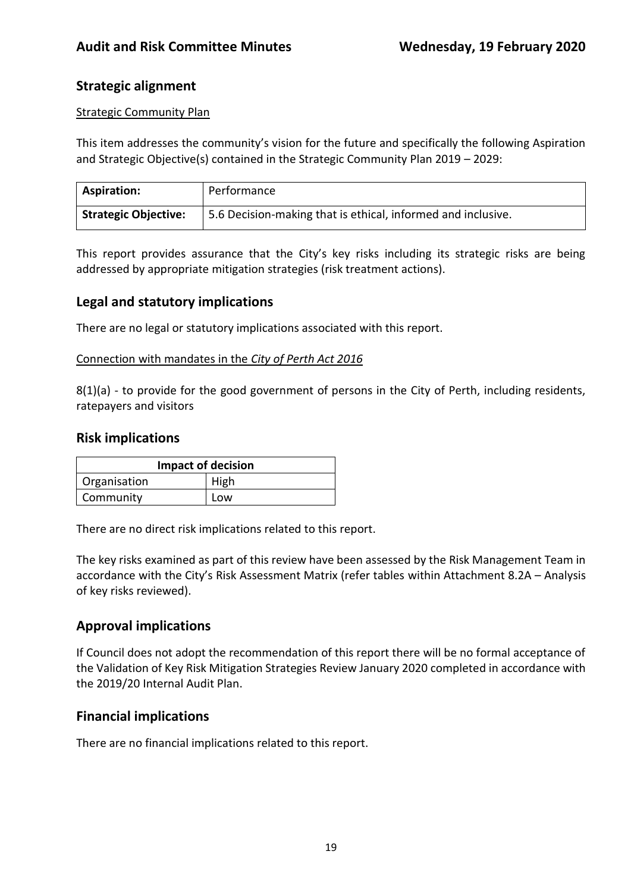## **Strategic alignment**

#### Strategic Community Plan

This item addresses the community's vision for the future and specifically the following Aspiration and Strategic Objective(s) contained in the Strategic Community Plan 2019 – 2029:

| <b>Aspiration:</b>   | Performance                                                  |
|----------------------|--------------------------------------------------------------|
| Strategic Objective: | 5.6 Decision-making that is ethical, informed and inclusive. |

This report provides assurance that the City's key risks including its strategic risks are being addressed by appropriate mitigation strategies (risk treatment actions).

## **Legal and statutory implications**

There are no legal or statutory implications associated with this report.

#### Connection with mandates in the *City of Perth Act 2016*

8(1)(a) - to provide for the good government of persons in the City of Perth, including residents, ratepayers and visitors

#### **Risk implications**

| <b>Impact of decision</b> |      |  |
|---------------------------|------|--|
| Organisation              | High |  |
| Community                 | Low  |  |

There are no direct risk implications related to this report.

The key risks examined as part of this review have been assessed by the Risk Management Team in accordance with the City's Risk Assessment Matrix (refer tables within Attachment 8.2A – Analysis of key risks reviewed).

### **Approval implications**

If Council does not adopt the recommendation of this report there will be no formal acceptance of the Validation of Key Risk Mitigation Strategies Review January 2020 completed in accordance with the 2019/20 Internal Audit Plan.

### **Financial implications**

There are no financial implications related to this report.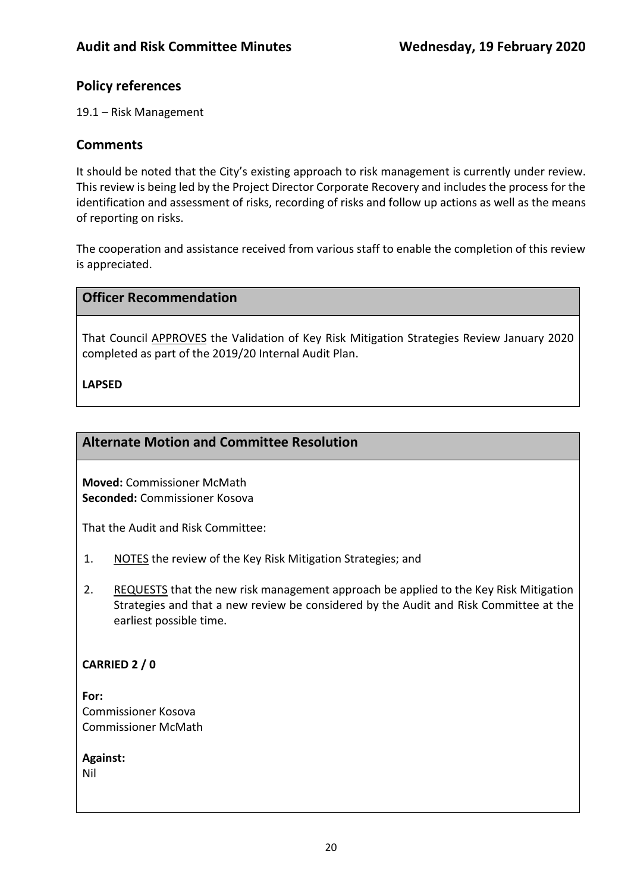### **Policy references**

19.1 – Risk Management

#### **Comments**

It should be noted that the City's existing approach to risk management is currently under review. This review is being led by the Project Director Corporate Recovery and includes the process for the identification and assessment of risks, recording of risks and follow up actions as well as the means of reporting on risks.

The cooperation and assistance received from various staff to enable the completion of this review is appreciated.

## **Officer Recommendation**

That Council APPROVES the Validation of Key Risk Mitigation Strategies Review January 2020 completed as part of the 2019/20 Internal Audit Plan.

#### **LAPSED**

### **Alternate Motion and Committee Resolution**

**Moved:** Commissioner McMath **Seconded:** Commissioner Kosova

That the Audit and Risk Committee:

- 1. NOTES the review of the Key Risk Mitigation Strategies; and
- 2. REQUESTS that the new risk management approach be applied to the Key Risk Mitigation Strategies and that a new review be considered by the Audit and Risk Committee at the earliest possible time.

#### **CARRIED 2 / 0**

**For:**  Commissioner Kosova Commissioner McMath

**Against:**  Nil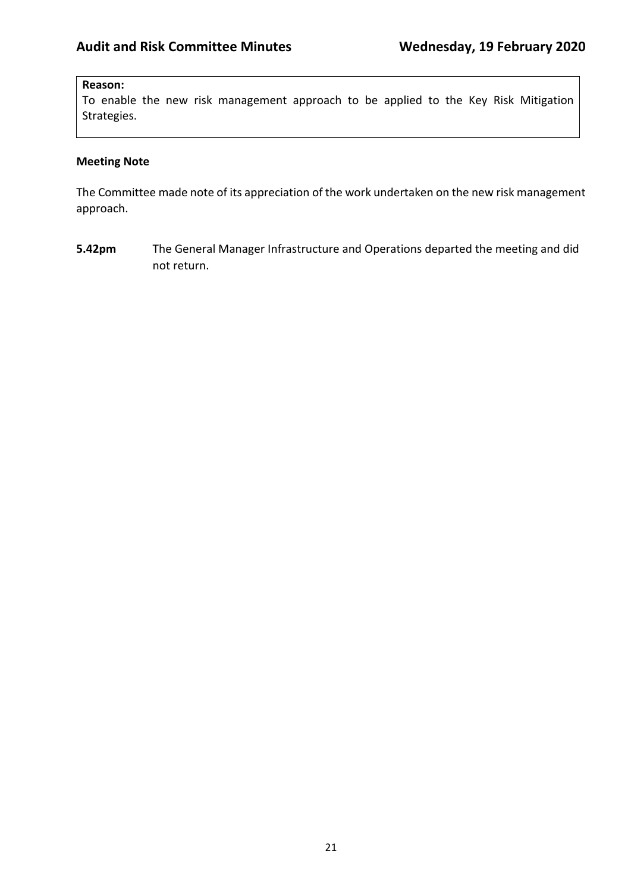#### **Reason:**

To enable the new risk management approach to be applied to the Key Risk Mitigation Strategies.

#### **Meeting Note**

The Committee made note of its appreciation of the work undertaken on the new risk management approach.

**5.42pm** The General Manager Infrastructure and Operations departed the meeting and did not return.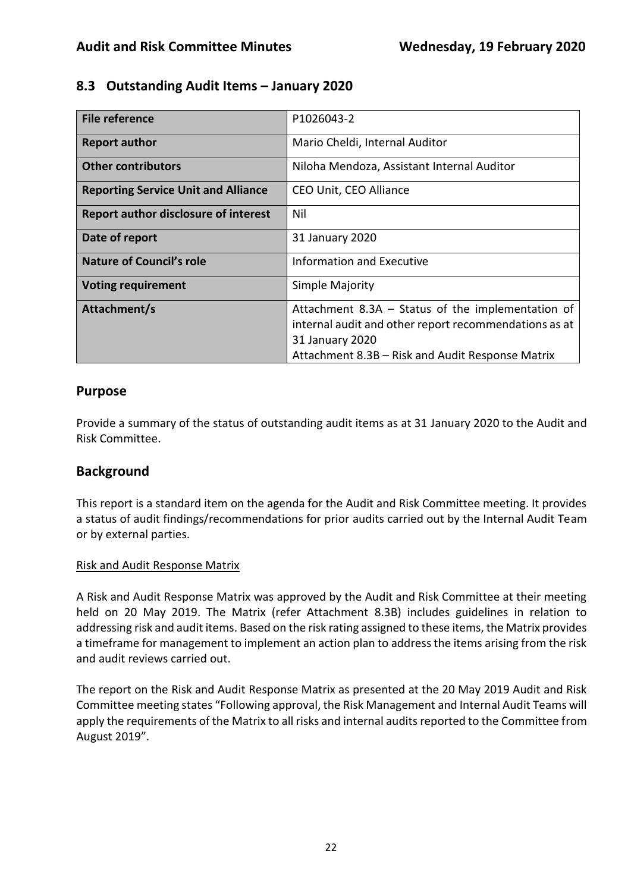# **8.3 Outstanding Audit Items – January 2020**

| P1026043-2                                            |
|-------------------------------------------------------|
|                                                       |
| Mario Cheldi, Internal Auditor                        |
|                                                       |
| Niloha Mendoza, Assistant Internal Auditor            |
|                                                       |
| CEO Unit, CEO Alliance                                |
|                                                       |
| Nil                                                   |
|                                                       |
| 31 January 2020                                       |
|                                                       |
| <b>Information and Executive</b>                      |
|                                                       |
| Simple Majority                                       |
|                                                       |
| Attachment $8.3A - Status$ of the implementation of   |
| internal audit and other report recommendations as at |
|                                                       |
| 31 January 2020                                       |
| Attachment 8.3B – Risk and Audit Response Matrix      |
|                                                       |

## **Purpose**

Provide a summary of the status of outstanding audit items as at 31 January 2020 to the Audit and Risk Committee.

# **Background**

This report is a standard item on the agenda for the Audit and Risk Committee meeting. It provides a status of audit findings/recommendations for prior audits carried out by the Internal Audit Team or by external parties.

#### Risk and Audit Response Matrix

A Risk and Audit Response Matrix was approved by the Audit and Risk Committee at their meeting held on 20 May 2019. The Matrix (refer Attachment 8.3B) includes guidelines in relation to addressing risk and audit items. Based on the risk rating assigned to these items, the Matrix provides a timeframe for management to implement an action plan to address the items arising from the risk and audit reviews carried out.

The report on the Risk and Audit Response Matrix as presented at the 20 May 2019 Audit and Risk Committee meeting states "Following approval, the Risk Management and Internal Audit Teams will apply the requirements of the Matrix to all risks and internal audits reported to the Committee from August 2019".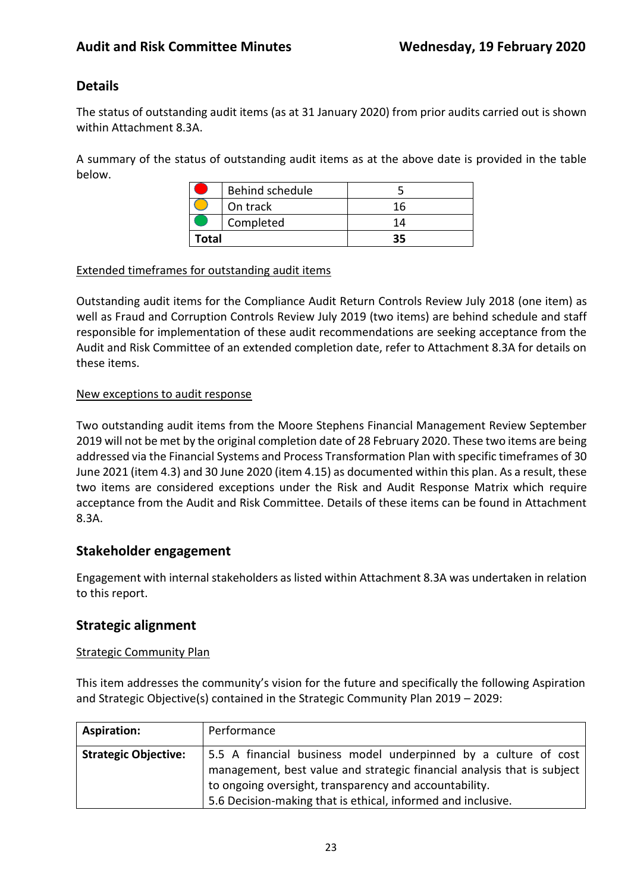# **Details**

The status of outstanding audit items (as at 31 January 2020) from prior audits carried out is shown within Attachment 8.3A.

A summary of the status of outstanding audit items as at the above date is provided in the table below.

|       | Behind schedule |  |
|-------|-----------------|--|
|       | On track        |  |
|       | Completed       |  |
| Total |                 |  |

#### Extended timeframes for outstanding audit items

Outstanding audit items for the Compliance Audit Return Controls Review July 2018 (one item) as well as Fraud and Corruption Controls Review July 2019 (two items) are behind schedule and staff responsible for implementation of these audit recommendations are seeking acceptance from the Audit and Risk Committee of an extended completion date, refer to Attachment 8.3A for details on these items.

#### New exceptions to audit response

Two outstanding audit items from the Moore Stephens Financial Management Review September 2019 will not be met by the original completion date of 28 February 2020. These two items are being addressed via the Financial Systems and Process Transformation Plan with specific timeframes of 30 June 2021 (item 4.3) and 30 June 2020 (item 4.15) as documented within this plan. As a result, these two items are considered exceptions under the Risk and Audit Response Matrix which require acceptance from the Audit and Risk Committee. Details of these items can be found in Attachment 8.3A.

# **Stakeholder engagement**

Engagement with internal stakeholders as listed within Attachment 8.3A was undertaken in relation to this report.

### **Strategic alignment**

#### Strategic Community Plan

This item addresses the community's vision for the future and specifically the following Aspiration and Strategic Objective(s) contained in the Strategic Community Plan 2019 – 2029:

| <b>Aspiration:</b>          | Performance                                                                                                                                                                                                                                                          |  |
|-----------------------------|----------------------------------------------------------------------------------------------------------------------------------------------------------------------------------------------------------------------------------------------------------------------|--|
| <b>Strategic Objective:</b> | 5.5 A financial business model underpinned by a culture of cost<br>management, best value and strategic financial analysis that is subject<br>to ongoing oversight, transparency and accountability.<br>5.6 Decision-making that is ethical, informed and inclusive. |  |
|                             |                                                                                                                                                                                                                                                                      |  |
|                             |                                                                                                                                                                                                                                                                      |  |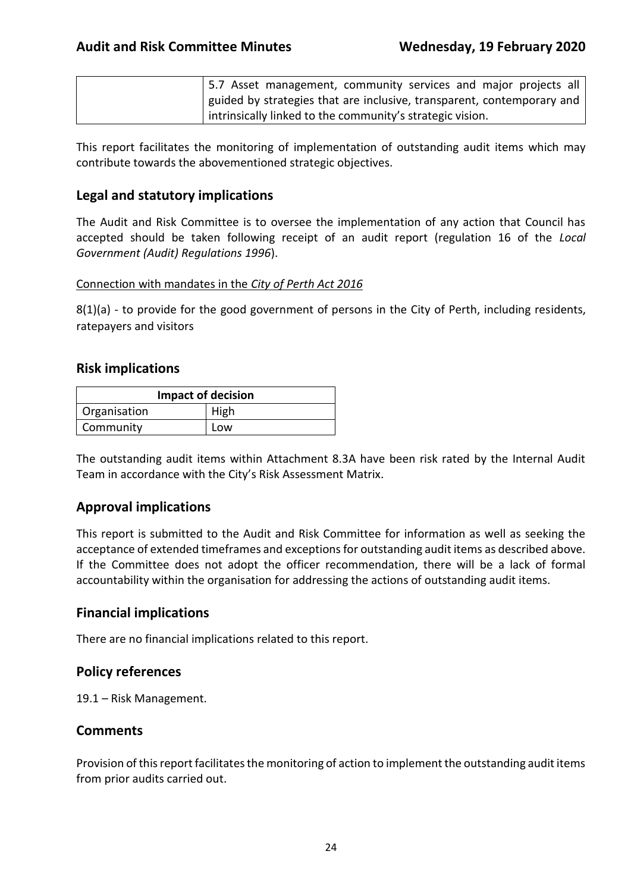| 5.7 Asset management, community services and major projects all          |  |
|--------------------------------------------------------------------------|--|
| I guided by strategies that are inclusive, transparent, contemporary and |  |
| intrinsically linked to the community's strategic vision.                |  |

This report facilitates the monitoring of implementation of outstanding audit items which may contribute towards the abovementioned strategic objectives.

### **Legal and statutory implications**

The Audit and Risk Committee is to oversee the implementation of any action that Council has accepted should be taken following receipt of an audit report (regulation 16 of the *Local Government (Audit) Regulations 1996*).

#### Connection with mandates in the *City of Perth Act 2016*

8(1)(a) - to provide for the good government of persons in the City of Perth, including residents, ratepayers and visitors

#### **Risk implications**

| <b>Impact of decision</b> |      |  |  |
|---------------------------|------|--|--|
| <sup>1</sup> Organisation | High |  |  |
| Community                 | Low  |  |  |

The outstanding audit items within Attachment 8.3A have been risk rated by the Internal Audit Team in accordance with the City's Risk Assessment Matrix.

### **Approval implications**

This report is submitted to the Audit and Risk Committee for information as well as seeking the acceptance of extended timeframes and exceptions for outstanding audit items as described above. If the Committee does not adopt the officer recommendation, there will be a lack of formal accountability within the organisation for addressing the actions of outstanding audit items.

#### **Financial implications**

There are no financial implications related to this report.

#### **Policy references**

19.1 – Risk Management.

#### **Comments**

Provision of this report facilitates the monitoring of action to implement the outstanding audit items from prior audits carried out.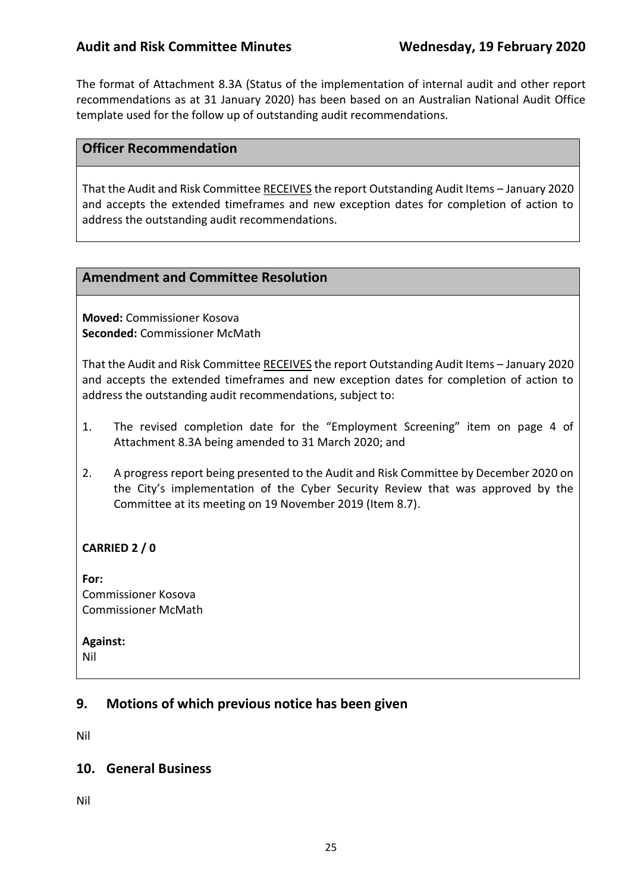The format of Attachment 8.3A (Status of the implementation of internal audit and other report recommendations as at 31 January 2020) has been based on an Australian National Audit Office template used for the follow up of outstanding audit recommendations.

#### **Officer Recommendation**

That the Audit and Risk Committee RECEIVES the report Outstanding Audit Items – January 2020 and accepts the extended timeframes and new exception dates for completion of action to address the outstanding audit recommendations.

### **Amendment and Committee Resolution**

**Moved:** Commissioner Kosova **Seconded:** Commissioner McMath

That the Audit and Risk Committee RECEIVES the report Outstanding Audit Items – January 2020 and accepts the extended timeframes and new exception dates for completion of action to address the outstanding audit recommendations, subject to:

- 1. The revised completion date for the "Employment Screening" item on page 4 of Attachment 8.3A being amended to 31 March 2020; and
- 2. A progress report being presented to the Audit and Risk Committee by December 2020 on the City's implementation of the Cyber Security Review that was approved by the Committee at its meeting on 19 November 2019 (Item 8.7).

### **CARRIED 2 / 0**

**For:**  Commissioner Kosova Commissioner McMath

**Against:** 

Nil

# **9. Motions of which previous notice has been given**

Nil

### **10. General Business**

Nil